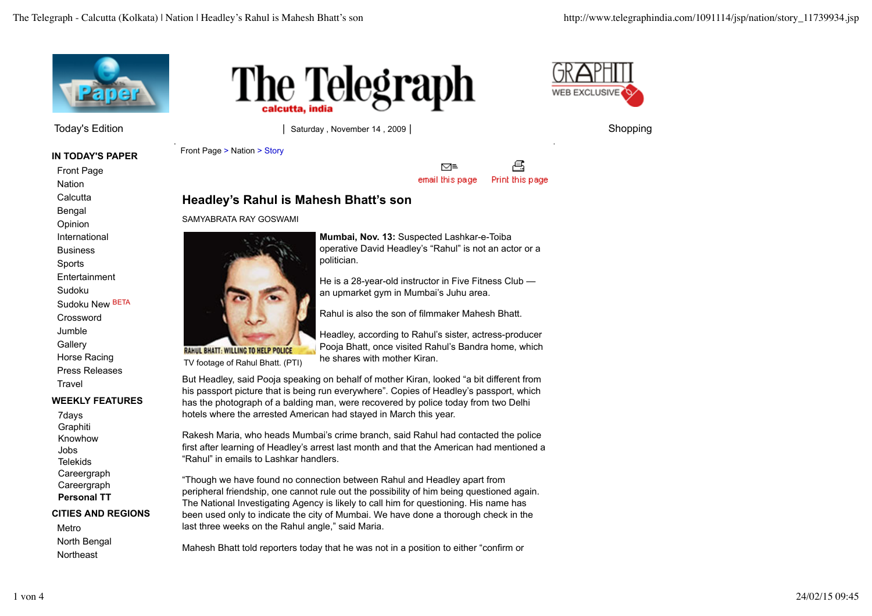

**IN TODAY'S PAPER**

Front Page **Nation Calcutta** Bengal

Opinion

International

**Business** 

Sports

**Entertainment** 

Sudoku

Sudoku New BETA

Crossword Jumble **Gallery** 

Horse Racing Press Releases Travel

## **WEEKLY FEATURES**

7days Graphiti Knowhow Jobs **Telekids** Careergraph Careergraph **Personal TT**

**CITIES AND REGIONS**

Metro North Bengal **Northeast** 



Today's Edition **Contract Contract Contract Contract Contract Contract Contract Contract Contract Contract Contract Contract Contract Contract Contract Contract Contract Contract Contract Contract Contract Contract Contrac** 

politician.

Front Page > Nation > Story



乌 ⊠≡ Print this page email this page

**Mumbai, Nov. 13:** Suspected Lashkar-e-Toiba operative David Headley's "Rahul" is not an actor or a

an upmarket gym in Mumbai's Juhu area.

He is a 28-year-old instructor in Five Fitness Club —

Headley, according to Rahul's sister, actress-producer Pooja Bhatt, once visited Rahul's Bandra home, which

Rahul is also the son of filmmaker Mahesh Bhatt.

## **Headley's Rahul is Mahesh Bhatt's son**

SAMYABRATA RAY GOSWAMI



TV footage of Rahul Bhatt. (PTI)

But Headley, said Pooja speaking on behalf of mother Kiran, looked "a bit different from his passport picture that is being run everywhere". Copies of Headley's passport, which has the photograph of a balding man, were recovered by police today from two Delhi hotels where the arrested American had stayed in March this year.

he shares with mother Kiran.

Rakesh Maria, who heads Mumbai's crime branch, said Rahul had contacted the police first after learning of Headley's arrest last month and that the American had mentioned a "Rahul" in emails to Lashkar handlers.

"Though we have found no connection between Rahul and Headley apart from peripheral friendship, one cannot rule out the possibility of him being questioned again. The National Investigating Agency is likely to call him for questioning. His name has been used only to indicate the city of Mumbai. We have done a thorough check in the last three weeks on the Rahul angle," said Maria.

Mahesh Bhatt told reporters today that he was not in a position to either "confirm or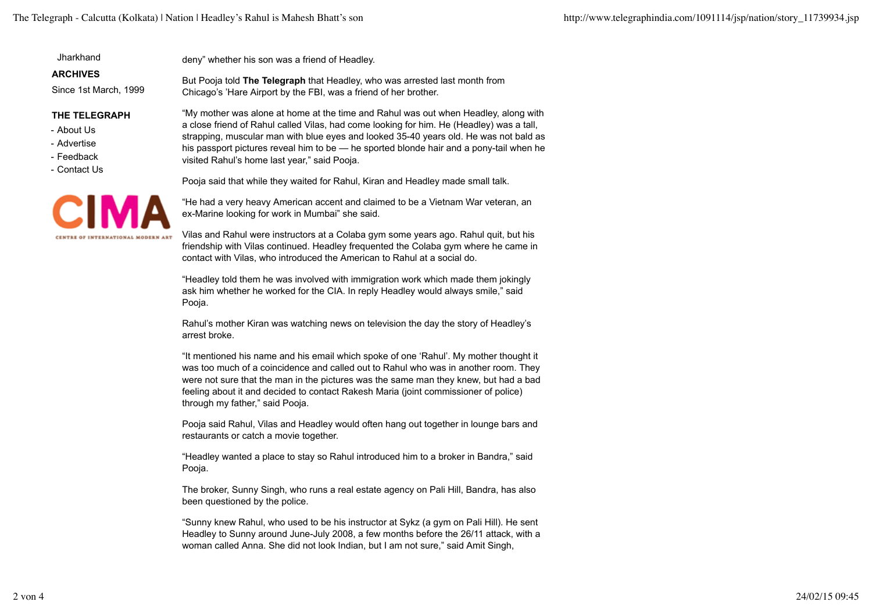**Jharkhand** 

**ARCHIVES**

Since 1st March, 1999

## **THE TELEGRAPH**

- About Us
- Advertise
- Feedback
- Contact Us



deny" whether his son was a friend of Headley.

But Pooja told **The Telegraph** that Headley, who was arrested last month from Chicago's 'Hare Airport by the FBI, was a friend of her brother.

> "My mother was alone at home at the time and Rahul was out when Headley, along with a close friend of Rahul called Vilas, had come looking for him. He (Headley) was a tall, strapping, muscular man with blue eyes and looked 35-40 years old. He was not bald as his passport pictures reveal him to be — he sported blonde hair and a pony-tail when he visited Rahul's home last year," said Pooja.

Pooja said that while they waited for Rahul, Kiran and Headley made small talk.

"He had a very heavy American accent and claimed to be a Vietnam War veteran, an ex-Marine looking for work in Mumbai" she said.

Vilas and Rahul were instructors at a Colaba gym some years ago. Rahul quit, but his friendship with Vilas continued. Headley frequented the Colaba gym where he came in contact with Vilas, who introduced the American to Rahul at a social do.

"Headley told them he was involved with immigration work which made them jokingly ask him whether he worked for the CIA. In reply Headley would always smile," said Pooja.

Rahul's mother Kiran was watching news on television the day the story of Headley's arrest broke.

"It mentioned his name and his email which spoke of one 'Rahul'. My mother thought it was too much of a coincidence and called out to Rahul who was in another room. They were not sure that the man in the pictures was the same man they knew, but had a bad feeling about it and decided to contact Rakesh Maria (joint commissioner of police) through my father," said Pooja.

Pooja said Rahul, Vilas and Headley would often hang out together in lounge bars and restaurants or catch a movie together.

"Headley wanted a place to stay so Rahul introduced him to a broker in Bandra," said Pooja.

The broker, Sunny Singh, who runs a real estate agency on Pali Hill, Bandra, has also been questioned by the police.

"Sunny knew Rahul, who used to be his instructor at Sykz (a gym on Pali Hill). He sent Headley to Sunny around June-July 2008, a few months before the 26/11 attack, with a woman called Anna. She did not look Indian, but I am not sure," said Amit Singh,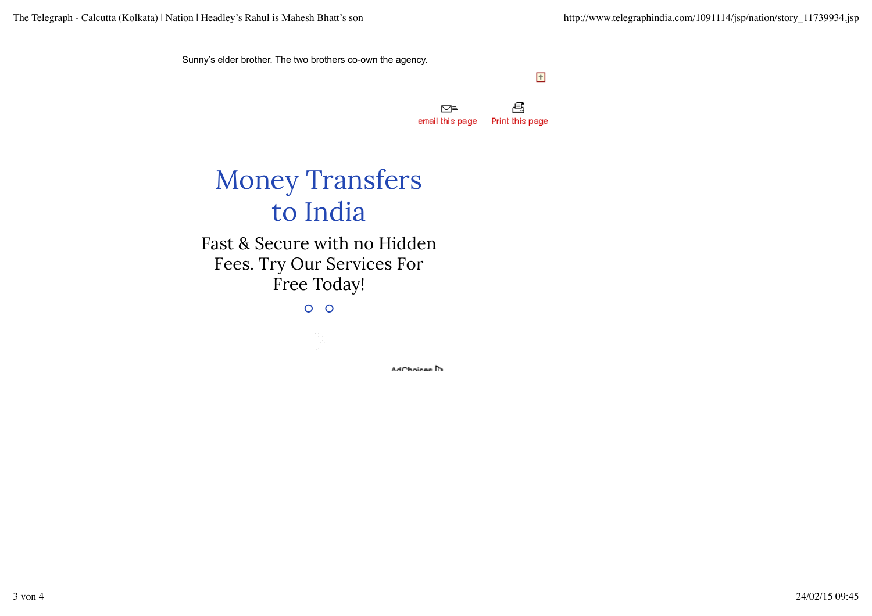Sunny's elder brother. The two brothers co-own the agency.

 $\hat{\mathcal{L}}$ 

 $\mathbf{\Xi}$ ⊠≡ Print this page email this page

## Money Transfers to India

Fast & Secure with no Hidden Fees. Try Our Services For Free Today!

 $O$   $O$ 

AdChoices<sup>1</sup>